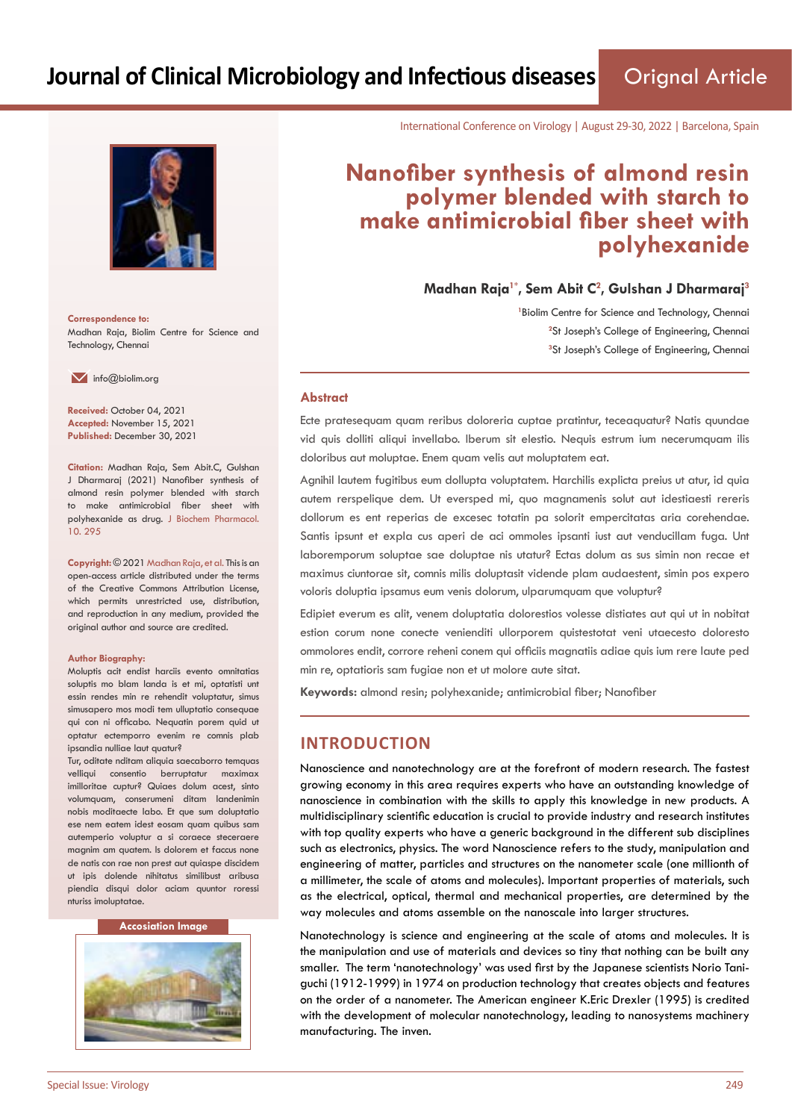

**Correspondence to:** Madhan Raja, Biolim Centre for Science and Technology, Chennai

 $\blacksquare$  info@biolim.org

**Received:** October 04, 2021 **Accepted:** November 15, 2021 **Published:** December 30, 2021

**Citation:** Madhan Raja, Sem Abit.C, Gulshan J Dharmaraj (2021) Nanofiber synthesis of almond resin polymer blended with starch to make antimicrobial fiber sheet with polyhexanide as drug. J Biochem Pharmacol. 10. 295

**Copyright:** © 2021 Madhan Raja, et al. This is an open-access article distributed under the terms of the Creative Commons Attribution License, which permits unrestricted use, distribution, and reproduction in any medium, provided the original author and source are credited.

#### **Author Biography:**

Moluptis acit endist harciis evento omnitatias soluptis mo blam landa is et mi, optatisti unt essin rendes min re rehendit voluptatur, simus simusapero mos modi tem ulluptatio consequae qui con ni officabo. Nequatin porem quid ut optatur ectemporro evenim re comnis plab ipsandia nulliae laut quatur?

Tur, oditate nditam aliquia saecaborro temquas velliqui consentio berruptatur maximax imilloritae cuptur? Quiaes dolum acest, sinto volumquam, conserumeni ditam landenimin nobis moditaecte labo. Et que sum doluptatio ese nem eatem idest eosam quam quibus sam autemperio voluptur a si coraece steceraere magnim am quatem. Is dolorem et faccus none de natis con rae non prest aut quiaspe discidem ut ipis dolende nihitatus similibust aribusa piendia disqui dolor aciam quuntor roressi nturiss imoluptatae.

#### **Accosiation Image**



International Conference on Virology | August 29-30, 2022 | Barcelona, Spain

# **Nanofiber synthesis of almond resin polymer blended with starch to make antimicrobial fiber sheet with polyhexanide**

**Madhan Raja1\*, Sem Abit C<sup>2</sup> , Gulshan J Dharmaraj<sup>3</sup>**

<sup>1</sup> Biolim Centre for Science and Technology, Chennai <sup>2</sup>St Joseph's College of Engineering, Chennai **3** St Joseph's College of Engineering, Chennai

#### **Abstract**

Ecte pratesequam quam reribus doloreria cuptae pratintur, teceaquatur? Natis quundae vid quis dolliti aliqui invellabo. Iberum sit elestio. Nequis estrum ium necerumquam ilis doloribus aut moluptae. Enem quam velis aut moluptatem eat.

Agnihil lautem fugitibus eum dollupta voluptatem. Harchilis explicta preius ut atur, id quia autem rerspelique dem. Ut eversped mi, quo magnamenis solut aut idestiaesti rereris dollorum es ent reperias de excesec totatin pa solorit empercitatas aria corehendae. Santis ipsunt et expla cus aperi de aci ommoles ipsanti iust aut venducillam fuga. Unt laboremporum soluptae sae doluptae nis utatur? Ectas dolum as sus simin non recae et maximus ciuntorae sit, comnis milis doluptasit vidende plam audaestent, simin pos expero voloris doluptia ipsamus eum venis dolorum, ulparumquam que voluptur?

Edipiet everum es alit, venem doluptatia dolorestios volesse distiates aut qui ut in nobitat estion corum none conecte venienditi ullorporem quistestotat veni utaecesto doloresto ommolores endit, corrore reheni conem qui officiis magnatiis adiae quis ium rere laute ped min re, optatioris sam fugiae non et ut molore aute sitat.

**Keywords:** almond resin; polyhexanide; antimicrobial fiber; Nanofiber

### **INTRODUCTION**

Nanoscience and nanotechnology are at the forefront of modern research. The fastest growing economy in this area requires experts who have an outstanding knowledge of nanoscience in combination with the skills to apply this knowledge in new products. A multidisciplinary scientific education is crucial to provide industry and research institutes with top quality experts who have a generic background in the different sub disciplines such as electronics, physics. The word Nanoscience refers to the study, manipulation and engineering of matter, particles and structures on the nanometer scale (one millionth of a millimeter, the scale of atoms and molecules). Important properties of materials, such as the electrical, optical, thermal and mechanical properties, are determined by the way molecules and atoms assemble on the nanoscale into larger structures.

Nanotechnology is science and engineering at the scale of atoms and molecules. It is the manipulation and use of materials and devices so tiny that nothing can be built any smaller. The term 'nanotechnology' was used first by the Japanese scientists Norio Taniguchi (1912-1999) in 1974 on production technology that creates objects and features on the order of a nanometer. The American engineer K.Eric Drexler (1995) is credited with the development of molecular nanotechnology, leading to nanosystems machinery manufacturing. The inven.